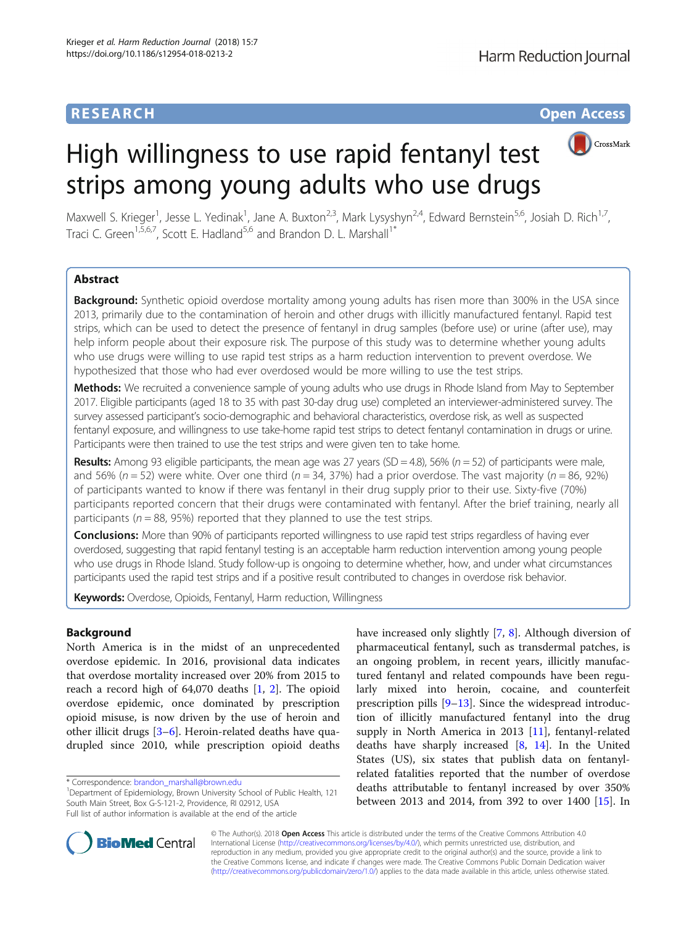# **RESEARCH CHE Open Access**



# High willingness to use rapid fentanyl test strips among young adults who use drugs

Maxwell S. Krieger<sup>1</sup>, Jesse L. Yedinak<sup>1</sup>, Jane A. Buxton<sup>2,3</sup>, Mark Lysyshyn<sup>2,4</sup>, Edward Bernstein<sup>5,6</sup>, Josiah D. Rich<sup>1,7</sup>, Traci C. Green<sup>1,5,6,7</sup>, Scott E. Hadland<sup>5,6</sup> and Brandon D. L. Marshall<sup>1</sup>

# Abstract

Background: Synthetic opioid overdose mortality among young adults has risen more than 300% in the USA since 2013, primarily due to the contamination of heroin and other drugs with illicitly manufactured fentanyl. Rapid test strips, which can be used to detect the presence of fentanyl in drug samples (before use) or urine (after use), may help inform people about their exposure risk. The purpose of this study was to determine whether young adults who use drugs were willing to use rapid test strips as a harm reduction intervention to prevent overdose. We hypothesized that those who had ever overdosed would be more willing to use the test strips.

Methods: We recruited a convenience sample of young adults who use drugs in Rhode Island from May to September 2017. Eligible participants (aged 18 to 35 with past 30-day drug use) completed an interviewer-administered survey. The survey assessed participant's socio-demographic and behavioral characteristics, overdose risk, as well as suspected fentanyl exposure, and willingness to use take-home rapid test strips to detect fentanyl contamination in drugs or urine. Participants were then trained to use the test strips and were given ten to take home.

**Results:** Among 93 eligible participants, the mean age was 27 years (SD = 4.8), 56% ( $n = 52$ ) of participants were male, and 56% ( $n = 52$ ) were white. Over one third ( $n = 34$ , 37%) had a prior overdose. The vast majority ( $n = 86$ , 92%) of participants wanted to know if there was fentanyl in their drug supply prior to their use. Sixty-five (70%) participants reported concern that their drugs were contaminated with fentanyl. After the brief training, nearly all participants ( $n = 88$ , 95%) reported that they planned to use the test strips.

**Conclusions:** More than 90% of participants reported willingness to use rapid test strips regardless of having ever overdosed, suggesting that rapid fentanyl testing is an acceptable harm reduction intervention among young people who use drugs in Rhode Island. Study follow-up is ongoing to determine whether, how, and under what circumstances participants used the rapid test strips and if a positive result contributed to changes in overdose risk behavior.

**Keywords:** Overdose, Opioids, Fentanyl, Harm reduction, Willingness

# Background

North America is in the midst of an unprecedented overdose epidemic. In 2016, provisional data indicates that overdose mortality increased over 20% from 2015 to reach a record high of 64,070 deaths [[1](#page-7-0), [2](#page-7-0)]. The opioid overdose epidemic, once dominated by prescription opioid misuse, is now driven by the use of heroin and other illicit drugs [[3](#page-7-0)–[6\]](#page-7-0). Heroin-related deaths have quadrupled since 2010, while prescription opioid deaths

\* Correspondence: [brandon\\_marshall@brown.edu](mailto:brandon_marshall@brown.edu) <sup>1</sup>

<sup>1</sup>Department of Epidemiology, Brown University School of Public Health, 121 South Main Street, Box G-S-121-2, Providence, RI 02912, USA Full list of author information is available at the end of the article

have increased only slightly [\[7](#page-7-0), [8\]](#page-7-0). Although diversion of pharmaceutical fentanyl, such as transdermal patches, is an ongoing problem, in recent years, illicitly manufactured fentanyl and related compounds have been regularly mixed into heroin, cocaine, and counterfeit prescription pills [\[9](#page-7-0)–[13](#page-7-0)]. Since the widespread introduction of illicitly manufactured fentanyl into the drug supply in North America in 2013 [\[11\]](#page-7-0), fentanyl-related deaths have sharply increased [[8,](#page-7-0) [14](#page-7-0)]. In the United States (US), six states that publish data on fentanylrelated fatalities reported that the number of overdose deaths attributable to fentanyl increased by over 350% between 2013 and 2014, from 392 to over 1400 [\[15\]](#page-7-0). In



© The Author(s). 2018 Open Access This article is distributed under the terms of the Creative Commons Attribution 4.0 International License [\(http://creativecommons.org/licenses/by/4.0/](http://creativecommons.org/licenses/by/4.0/)), which permits unrestricted use, distribution, and reproduction in any medium, provided you give appropriate credit to the original author(s) and the source, provide a link to the Creative Commons license, and indicate if changes were made. The Creative Commons Public Domain Dedication waiver [\(http://creativecommons.org/publicdomain/zero/1.0/](http://creativecommons.org/publicdomain/zero/1.0/)) applies to the data made available in this article, unless otherwise stated.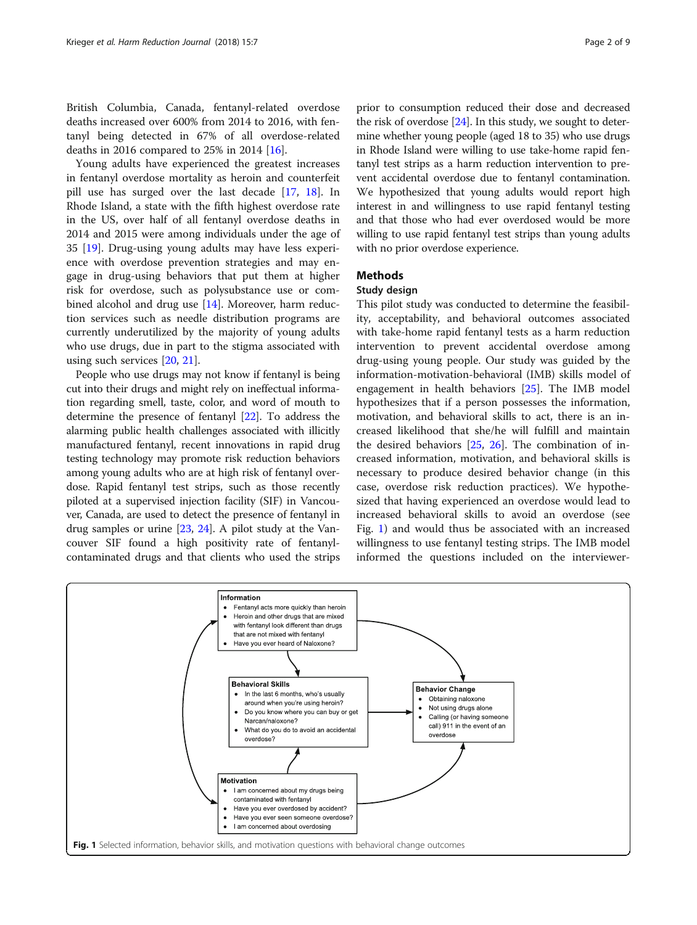British Columbia, Canada, fentanyl-related overdose deaths increased over 600% from 2014 to 2016, with fentanyl being detected in 67% of all overdose-related deaths in 2016 compared to 25% in 2014 [\[16](#page-8-0)].

Young adults have experienced the greatest increases in fentanyl overdose mortality as heroin and counterfeit pill use has surged over the last decade [[17,](#page-8-0) [18](#page-8-0)]. In Rhode Island, a state with the fifth highest overdose rate in the US, over half of all fentanyl overdose deaths in 2014 and 2015 were among individuals under the age of 35 [[19](#page-8-0)]. Drug-using young adults may have less experience with overdose prevention strategies and may engage in drug-using behaviors that put them at higher risk for overdose, such as polysubstance use or combined alcohol and drug use [\[14\]](#page-7-0). Moreover, harm reduction services such as needle distribution programs are currently underutilized by the majority of young adults who use drugs, due in part to the stigma associated with using such services [\[20,](#page-8-0) [21\]](#page-8-0).

People who use drugs may not know if fentanyl is being cut into their drugs and might rely on ineffectual information regarding smell, taste, color, and word of mouth to determine the presence of fentanyl [\[22\]](#page-8-0). To address the alarming public health challenges associated with illicitly manufactured fentanyl, recent innovations in rapid drug testing technology may promote risk reduction behaviors among young adults who are at high risk of fentanyl overdose. Rapid fentanyl test strips, such as those recently piloted at a supervised injection facility (SIF) in Vancouver, Canada, are used to detect the presence of fentanyl in drug samples or urine [[23](#page-8-0), [24\]](#page-8-0). A pilot study at the Vancouver SIF found a high positivity rate of fentanylcontaminated drugs and that clients who used the strips

prior to consumption reduced their dose and decreased the risk of overdose  $[24]$  $[24]$ . In this study, we sought to determine whether young people (aged 18 to 35) who use drugs in Rhode Island were willing to use take-home rapid fentanyl test strips as a harm reduction intervention to prevent accidental overdose due to fentanyl contamination. We hypothesized that young adults would report high interest in and willingness to use rapid fentanyl testing and that those who had ever overdosed would be more willing to use rapid fentanyl test strips than young adults

### Methods

# Study design

with no prior overdose experience.

This pilot study was conducted to determine the feasibility, acceptability, and behavioral outcomes associated with take-home rapid fentanyl tests as a harm reduction intervention to prevent accidental overdose among drug-using young people. Our study was guided by the information-motivation-behavioral (IMB) skills model of engagement in health behaviors [[25\]](#page-8-0). The IMB model hypothesizes that if a person possesses the information, motivation, and behavioral skills to act, there is an increased likelihood that she/he will fulfill and maintain the desired behaviors [\[25,](#page-8-0) [26](#page-8-0)]. The combination of increased information, motivation, and behavioral skills is necessary to produce desired behavior change (in this case, overdose risk reduction practices). We hypothesized that having experienced an overdose would lead to increased behavioral skills to avoid an overdose (see Fig. 1) and would thus be associated with an increased willingness to use fentanyl testing strips. The IMB model informed the questions included on the interviewer-

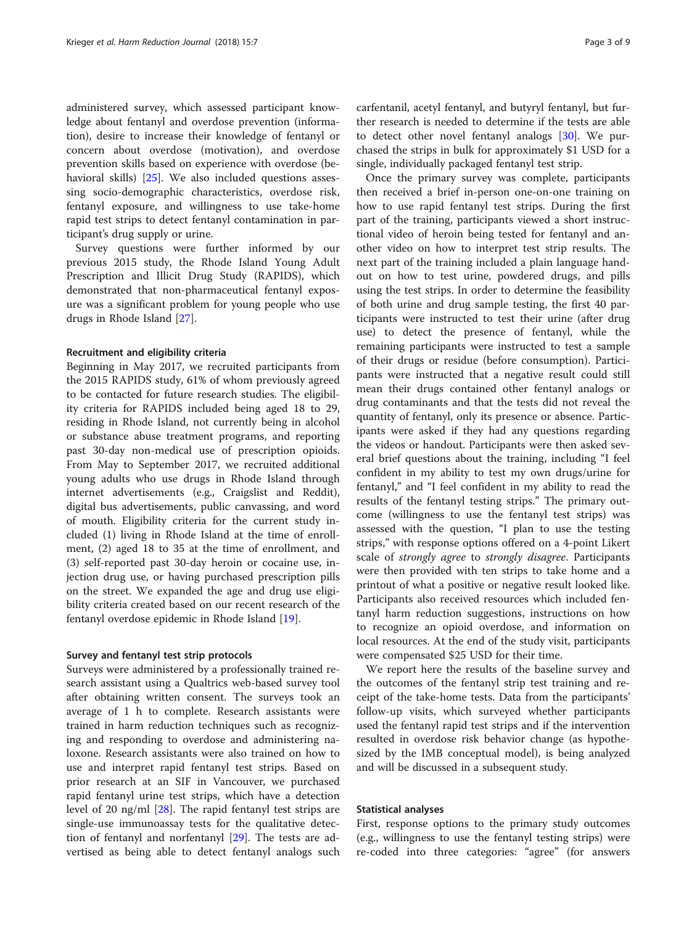administered survey, which assessed participant knowledge about fentanyl and overdose prevention (information), desire to increase their knowledge of fentanyl or concern about overdose (motivation), and overdose prevention skills based on experience with overdose (behavioral skills) [[25\]](#page-8-0). We also included questions assessing socio-demographic characteristics, overdose risk, fentanyl exposure, and willingness to use take-home rapid test strips to detect fentanyl contamination in participant's drug supply or urine.

Survey questions were further informed by our previous 2015 study, the Rhode Island Young Adult Prescription and Illicit Drug Study (RAPIDS), which demonstrated that non-pharmaceutical fentanyl exposure was a significant problem for young people who use drugs in Rhode Island [[27\]](#page-8-0).

#### Recruitment and eligibility criteria

Beginning in May 2017, we recruited participants from the 2015 RAPIDS study, 61% of whom previously agreed to be contacted for future research studies. The eligibility criteria for RAPIDS included being aged 18 to 29, residing in Rhode Island, not currently being in alcohol or substance abuse treatment programs, and reporting past 30-day non-medical use of prescription opioids. From May to September 2017, we recruited additional young adults who use drugs in Rhode Island through internet advertisements (e.g., Craigslist and Reddit), digital bus advertisements, public canvassing, and word of mouth. Eligibility criteria for the current study included (1) living in Rhode Island at the time of enrollment, (2) aged 18 to 35 at the time of enrollment, and (3) self-reported past 30-day heroin or cocaine use, injection drug use, or having purchased prescription pills on the street. We expanded the age and drug use eligibility criteria created based on our recent research of the fentanyl overdose epidemic in Rhode Island [[19\]](#page-8-0).

#### Survey and fentanyl test strip protocols

Surveys were administered by a professionally trained research assistant using a Qualtrics web-based survey tool after obtaining written consent. The surveys took an average of 1 h to complete. Research assistants were trained in harm reduction techniques such as recognizing and responding to overdose and administering naloxone. Research assistants were also trained on how to use and interpret rapid fentanyl test strips. Based on prior research at an SIF in Vancouver, we purchased rapid fentanyl urine test strips, which have a detection level of 20 ng/ml [[28\]](#page-8-0). The rapid fentanyl test strips are single-use immunoassay tests for the qualitative detection of fentanyl and norfentanyl [[29\]](#page-8-0). The tests are advertised as being able to detect fentanyl analogs such carfentanil, acetyl fentanyl, and butyryl fentanyl, but further research is needed to determine if the tests are able to detect other novel fentanyl analogs [[30](#page-8-0)]. We purchased the strips in bulk for approximately \$1 USD for a single, individually packaged fentanyl test strip.

Once the primary survey was complete, participants then received a brief in-person one-on-one training on how to use rapid fentanyl test strips. During the first part of the training, participants viewed a short instructional video of heroin being tested for fentanyl and another video on how to interpret test strip results. The next part of the training included a plain language handout on how to test urine, powdered drugs, and pills using the test strips. In order to determine the feasibility of both urine and drug sample testing, the first 40 participants were instructed to test their urine (after drug use) to detect the presence of fentanyl, while the remaining participants were instructed to test a sample of their drugs or residue (before consumption). Participants were instructed that a negative result could still mean their drugs contained other fentanyl analogs or drug contaminants and that the tests did not reveal the quantity of fentanyl, only its presence or absence. Participants were asked if they had any questions regarding the videos or handout. Participants were then asked several brief questions about the training, including "I feel confident in my ability to test my own drugs/urine for fentanyl," and "I feel confident in my ability to read the results of the fentanyl testing strips." The primary outcome (willingness to use the fentanyl test strips) was assessed with the question, "I plan to use the testing strips," with response options offered on a 4-point Likert scale of *strongly agree* to *strongly disagree*. Participants were then provided with ten strips to take home and a printout of what a positive or negative result looked like. Participants also received resources which included fentanyl harm reduction suggestions, instructions on how to recognize an opioid overdose, and information on local resources. At the end of the study visit, participants were compensated \$25 USD for their time.

We report here the results of the baseline survey and the outcomes of the fentanyl strip test training and receipt of the take-home tests. Data from the participants' follow-up visits, which surveyed whether participants used the fentanyl rapid test strips and if the intervention resulted in overdose risk behavior change (as hypothesized by the IMB conceptual model), is being analyzed and will be discussed in a subsequent study.

#### Statistical analyses

First, response options to the primary study outcomes (e.g., willingness to use the fentanyl testing strips) were re-coded into three categories: "agree" (for answers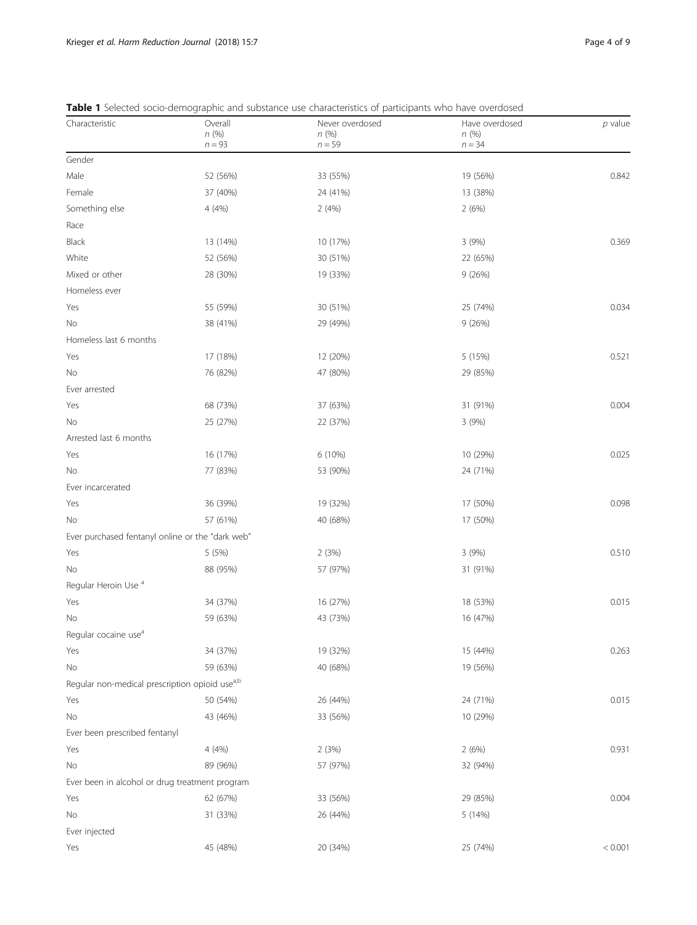| Characteristic                                             | Overall<br>n(%) | Never overdosed<br>n(%) | Have overdosed<br>n(%) | $p$ value |
|------------------------------------------------------------|-----------------|-------------------------|------------------------|-----------|
| Gender                                                     | $n = 93$        | $n = 59$                | $n = 34$               |           |
| Male                                                       |                 |                         | 19 (56%)               | 0.842     |
|                                                            | 52 (56%)        | 33 (55%)                |                        |           |
| Female                                                     | 37 (40%)        | 24 (41%)                | 13 (38%)               |           |
| Something else                                             | 4(4%)           | 2(4%)                   | 2(6%)                  |           |
| Race                                                       |                 |                         |                        |           |
| Black                                                      | 13 (14%)        | 10 (17%)                | 3(9%)                  | 0.369     |
| White                                                      | 52 (56%)        | 30 (51%)                | 22 (65%)               |           |
| Mixed or other                                             | 28 (30%)        | 19 (33%)                | 9(26%)                 |           |
| Homeless ever                                              |                 |                         |                        |           |
| Yes                                                        | 55 (59%)        | 30 (51%)                | 25 (74%)               | 0.034     |
| No                                                         | 38 (41%)        | 29 (49%)                | 9 (26%)                |           |
| Homeless last 6 months                                     |                 |                         |                        |           |
| Yes                                                        | 17 (18%)        | 12 (20%)                | 5 (15%)                | 0.521     |
| No                                                         | 76 (82%)        | 47 (80%)                | 29 (85%)               |           |
| Ever arrested                                              |                 |                         |                        |           |
| Yes                                                        | 68 (73%)        | 37 (63%)                | 31 (91%)               | 0.004     |
| No                                                         | 25 (27%)        | 22 (37%)                | 3 (9%)                 |           |
| Arrested last 6 months                                     |                 |                         |                        |           |
| Yes                                                        | 16 (17%)        | 6 (10%)                 | 10 (29%)               | 0.025     |
| No                                                         | 77 (83%)        | 53 (90%)                | 24 (71%)               |           |
| Ever incarcerated                                          |                 |                         |                        |           |
| Yes                                                        | 36 (39%)        | 19 (32%)                | 17 (50%)               | 0.098     |
| No                                                         | 57 (61%)        | 40 (68%)                | 17 (50%)               |           |
| Ever purchased fentanyl online or the "dark web"           |                 |                         |                        |           |
| Yes                                                        | 5 (5%)          | 2(3%)                   | 3 (9%)                 | 0.510     |
| No                                                         | 88 (95%)        | 57 (97%)                | 31 (91%)               |           |
| Regular Heroin Use <sup>a</sup>                            |                 |                         |                        |           |
| Yes                                                        | 34 (37%)        | 16 (27%)                | 18 (53%)               | 0.015     |
| No                                                         | 59 (63%)        | 43 (73%)                | 16 (47%)               |           |
| Regular cocaine use <sup>a</sup>                           |                 |                         |                        |           |
| Yes                                                        | 34 (37%)        | 19 (32%)                | 15 (44%)               | 0.263     |
| No                                                         | 59 (63%)        | 40 (68%)                | 19 (56%)               |           |
| Regular non-medical prescription opioid use <sup>a,b</sup> |                 |                         |                        |           |
| Yes                                                        | 50 (54%)        | 26 (44%)                | 24 (71%)               | 0.015     |
| No                                                         | 43 (46%)        | 33 (56%)                | 10 (29%)               |           |
| Ever been prescribed fentanyl                              |                 |                         |                        |           |
| Yes                                                        | 4(4%)           | 2(3%)                   | 2(6%)                  | 0.931     |
| No                                                         | 89 (96%)        | 57 (97%)                | 32 (94%)               |           |
| Ever been in alcohol or drug treatment program             |                 |                         |                        |           |
| Yes                                                        | 62 (67%)        | 33 (56%)                | 29 (85%)               | 0.004     |
|                                                            | 31 (33%)        | 26 (44%)                | 5 (14%)                |           |
| No                                                         |                 |                         |                        |           |
| Ever injected                                              |                 |                         |                        |           |
| Yes                                                        | 45 (48%)        | 20 (34%)                | 25 (74%)               | < 0.001   |

<span id="page-3-0"></span>Table 1 Selected socio-demographic and substance use characteristics of participants who have overdosed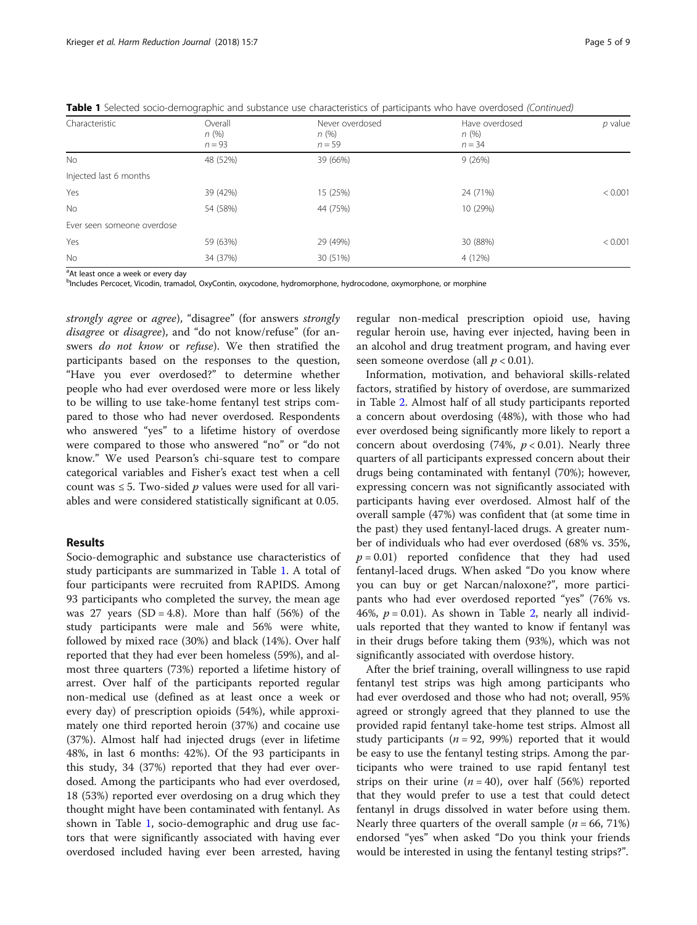|  |  |  |  | Table 1 Selected socio-demographic and substance use characteristics of participants who have overdosed (Continued) |  |
|--|--|--|--|---------------------------------------------------------------------------------------------------------------------|--|
|--|--|--|--|---------------------------------------------------------------------------------------------------------------------|--|

| Characteristic             | Overall<br>n(%)<br>$n = 93$ | Never overdosed<br>n(%)<br>$n = 59$ | Have overdosed<br>n(%)<br>$n = 34$ | $p$ value |
|----------------------------|-----------------------------|-------------------------------------|------------------------------------|-----------|
| <b>No</b>                  | 48 (52%)                    | 39 (66%)                            | 9(26%)                             |           |
| Injected last 6 months     |                             |                                     |                                    |           |
| Yes                        | 39 (42%)                    | 15 (25%)                            | 24 (71%)                           | < 0.001   |
| <b>No</b>                  | 54 (58%)                    | 44 (75%)                            | 10 (29%)                           |           |
| Ever seen someone overdose |                             |                                     |                                    |           |
| Yes                        | 59 (63%)                    | 29 (49%)                            | 30 (88%)                           | < 0.001   |
| No                         | 34 (37%)                    | 30 (51%)                            | 4 (12%)                            |           |

<sup>a</sup>At least once a week or every day

<sup>b</sup>Includes Percocet, Vicodin, tramadol, OxyContin, oxycodone, hydromorphone, hydrocodone, oxymorphone, or morphine

strongly agree or agree), "disagree" (for answers strongly disagree or disagree), and "do not know/refuse" (for answers do not know or refuse). We then stratified the participants based on the responses to the question, "Have you ever overdosed?" to determine whether people who had ever overdosed were more or less likely to be willing to use take-home fentanyl test strips compared to those who had never overdosed. Respondents who answered "yes" to a lifetime history of overdose were compared to those who answered "no" or "do not know." We used Pearson's chi-square test to compare categorical variables and Fisher's exact test when a cell count was  $\leq 5$ . Two-sided p values were used for all variables and were considered statistically significant at 0.05.

#### Results

Socio-demographic and substance use characteristics of study participants are summarized in Table [1.](#page-3-0) A total of four participants were recruited from RAPIDS. Among 93 participants who completed the survey, the mean age was 27 years  $(SD = 4.8)$ . More than half  $(56%)$  of the study participants were male and 56% were white, followed by mixed race (30%) and black (14%). Over half reported that they had ever been homeless (59%), and almost three quarters (73%) reported a lifetime history of arrest. Over half of the participants reported regular non-medical use (defined as at least once a week or every day) of prescription opioids (54%), while approximately one third reported heroin (37%) and cocaine use (37%). Almost half had injected drugs (ever in lifetime 48%, in last 6 months: 42%). Of the 93 participants in this study, 34 (37%) reported that they had ever overdosed. Among the participants who had ever overdosed, 18 (53%) reported ever overdosing on a drug which they thought might have been contaminated with fentanyl. As shown in Table [1](#page-3-0), socio-demographic and drug use factors that were significantly associated with having ever overdosed included having ever been arrested, having regular non-medical prescription opioid use, having regular heroin use, having ever injected, having been in an alcohol and drug treatment program, and having ever seen someone overdose (all  $p < 0.01$ ).

Information, motivation, and behavioral skills-related factors, stratified by history of overdose, are summarized in Table [2](#page-5-0). Almost half of all study participants reported a concern about overdosing (48%), with those who had ever overdosed being significantly more likely to report a concern about overdosing (74%,  $p < 0.01$ ). Nearly three quarters of all participants expressed concern about their drugs being contaminated with fentanyl (70%); however, expressing concern was not significantly associated with participants having ever overdosed. Almost half of the overall sample (47%) was confident that (at some time in the past) they used fentanyl-laced drugs. A greater number of individuals who had ever overdosed (68% vs. 35%,  $p = 0.01$ ) reported confidence that they had used fentanyl-laced drugs. When asked "Do you know where you can buy or get Narcan/naloxone?", more participants who had ever overdosed reported "yes" (76% vs. 46%,  $p = 0.01$ ). As shown in Table [2,](#page-5-0) nearly all individuals reported that they wanted to know if fentanyl was in their drugs before taking them (93%), which was not significantly associated with overdose history.

After the brief training, overall willingness to use rapid fentanyl test strips was high among participants who had ever overdosed and those who had not; overall, 95% agreed or strongly agreed that they planned to use the provided rapid fentanyl take-home test strips. Almost all study participants ( $n = 92$ , 99%) reported that it would be easy to use the fentanyl testing strips. Among the participants who were trained to use rapid fentanyl test strips on their urine  $(n = 40)$ , over half (56%) reported that they would prefer to use a test that could detect fentanyl in drugs dissolved in water before using them. Nearly three quarters of the overall sample ( $n = 66, 71\%)$ endorsed "yes" when asked "Do you think your friends would be interested in using the fentanyl testing strips?".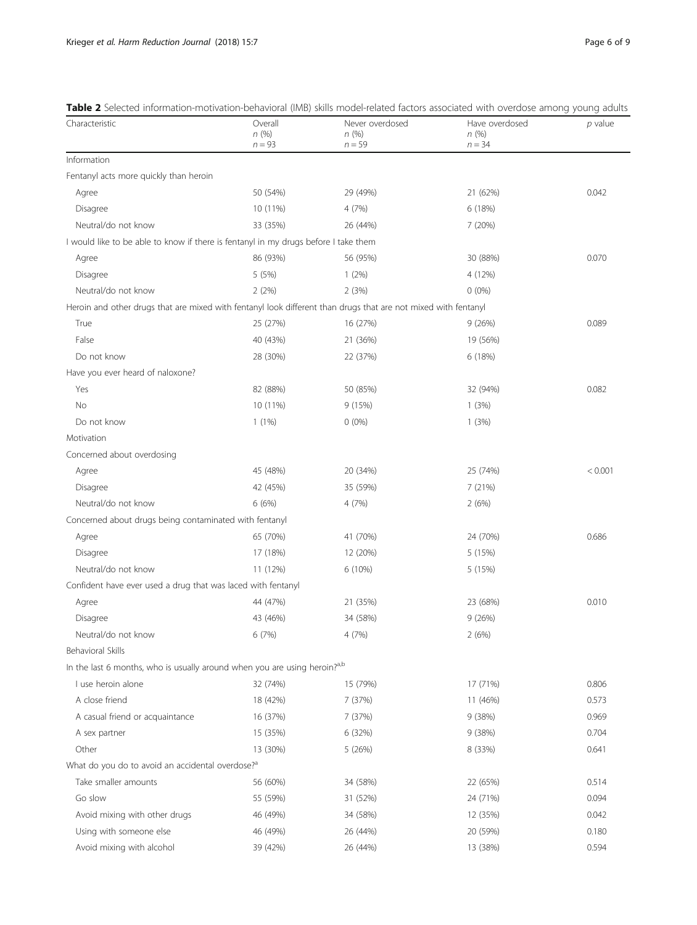<span id="page-5-0"></span>Table 2 Selected information-motivation-behavioral (IMB) skills model-related factors associated with overdose among young adults

| Characteristic                                                                                                 | Overall<br>n(%)<br>$n = 93$ | Never overdosed<br>n(%)<br>$n = 59$ | Have overdosed<br>n(%)<br>$n = 34$ | $p$ value |
|----------------------------------------------------------------------------------------------------------------|-----------------------------|-------------------------------------|------------------------------------|-----------|
| Information                                                                                                    |                             |                                     |                                    |           |
| Fentanyl acts more quickly than heroin                                                                         |                             |                                     |                                    |           |
| Agree                                                                                                          | 50 (54%)                    | 29 (49%)                            | 21 (62%)                           | 0.042     |
| Disagree                                                                                                       | 10 (11%)                    | 4 (7%)                              | 6(18%)                             |           |
| Neutral/do not know                                                                                            | 33 (35%)                    | 26 (44%)                            | 7(20%)                             |           |
| I would like to be able to know if there is fentanyl in my drugs before I take them                            |                             |                                     |                                    |           |
| Agree                                                                                                          | 86 (93%)                    | 56 (95%)                            | 30 (88%)                           | 0.070     |
| Disagree                                                                                                       | 5 (5%)                      | 1(2%)                               | 4 (12%)                            |           |
| Neutral/do not know                                                                                            | 2(2%)                       | 2(3%)                               | $0(0\%)$                           |           |
| Heroin and other drugs that are mixed with fentanyl look different than drugs that are not mixed with fentanyl |                             |                                     |                                    |           |
| True                                                                                                           | 25 (27%)                    | 16 (27%)                            | 9(26%)                             | 0.089     |
| False                                                                                                          | 40 (43%)                    | 21 (36%)                            | 19 (56%)                           |           |
| Do not know                                                                                                    | 28 (30%)                    | 22 (37%)                            | 6(18%)                             |           |
| Have you ever heard of naloxone?                                                                               |                             |                                     |                                    |           |
| Yes                                                                                                            | 82 (88%)                    | 50 (85%)                            | 32 (94%)                           | 0.082     |
| No                                                                                                             | 10 (11%)                    | 9(15%)                              | 1(3%)                              |           |
| Do not know                                                                                                    | 1(1%)                       | $0(0\%)$                            | 1(3%)                              |           |
| Motivation                                                                                                     |                             |                                     |                                    |           |
| Concerned about overdosing                                                                                     |                             |                                     |                                    |           |
| Agree                                                                                                          | 45 (48%)                    | 20 (34%)                            | 25 (74%)                           | < 0.001   |
| Disagree                                                                                                       | 42 (45%)                    | 35 (59%)                            | 7 (21%)                            |           |
| Neutral/do not know                                                                                            | 6(6%)                       | 4(7%)                               | 2(6%)                              |           |
| Concerned about drugs being contaminated with fentanyl                                                         |                             |                                     |                                    |           |
| Agree                                                                                                          | 65 (70%)                    | 41 (70%)                            | 24 (70%)                           | 0.686     |
| Disagree                                                                                                       | 17 (18%)                    | 12 (20%)                            | 5 (15%)                            |           |
| Neutral/do not know                                                                                            | 11 (12%)                    | $6(10\%)$                           | 5 (15%)                            |           |
| Confident have ever used a drug that was laced with fentanyl                                                   |                             |                                     |                                    |           |
| Agree                                                                                                          | 44 (47%)                    | 21 (35%)                            | 23 (68%)                           | 0.010     |
| Disagree                                                                                                       | 43 (46%)                    | 34 (58%)                            | 9(26%)                             |           |
| Neutral/do not know                                                                                            | 6 (7%)                      | 4 (7%)                              | 2(6%)                              |           |
| Behavioral Skills                                                                                              |                             |                                     |                                    |           |
| In the last 6 months, who is usually around when you are using heroin? <sup>a,b</sup>                          |                             |                                     |                                    |           |
| Luse heroin alone                                                                                              | 32 (74%)                    | 15 (79%)                            | 17 (71%)                           | 0.806     |
| A close friend                                                                                                 | 18 (42%)                    | 7 (37%)                             | 11 (46%)                           | 0.573     |
| A casual friend or acquaintance                                                                                | 16 (37%)                    | 7 (37%)                             | 9(38%)                             | 0.969     |
| A sex partner                                                                                                  | 15 (35%)                    | 6 (32%)                             | 9(38%)                             | 0.704     |
| Other                                                                                                          | 13 (30%)                    | 5(26%)                              | 8 (33%)                            | 0.641     |
| What do you do to avoid an accidental overdose? <sup>a</sup>                                                   |                             |                                     |                                    |           |
| Take smaller amounts                                                                                           | 56 (60%)                    | 34 (58%)                            | 22 (65%)                           | 0.514     |
| Go slow                                                                                                        | 55 (59%)                    | 31 (52%)                            | 24 (71%)                           | 0.094     |
| Avoid mixing with other drugs                                                                                  | 46 (49%)                    | 34 (58%)                            | 12 (35%)                           | 0.042     |
| Using with someone else                                                                                        | 46 (49%)                    | 26 (44%)                            | 20 (59%)                           | 0.180     |
| Avoid mixing with alcohol                                                                                      | 39 (42%)                    | 26 (44%)                            | 13 (38%)                           | 0.594     |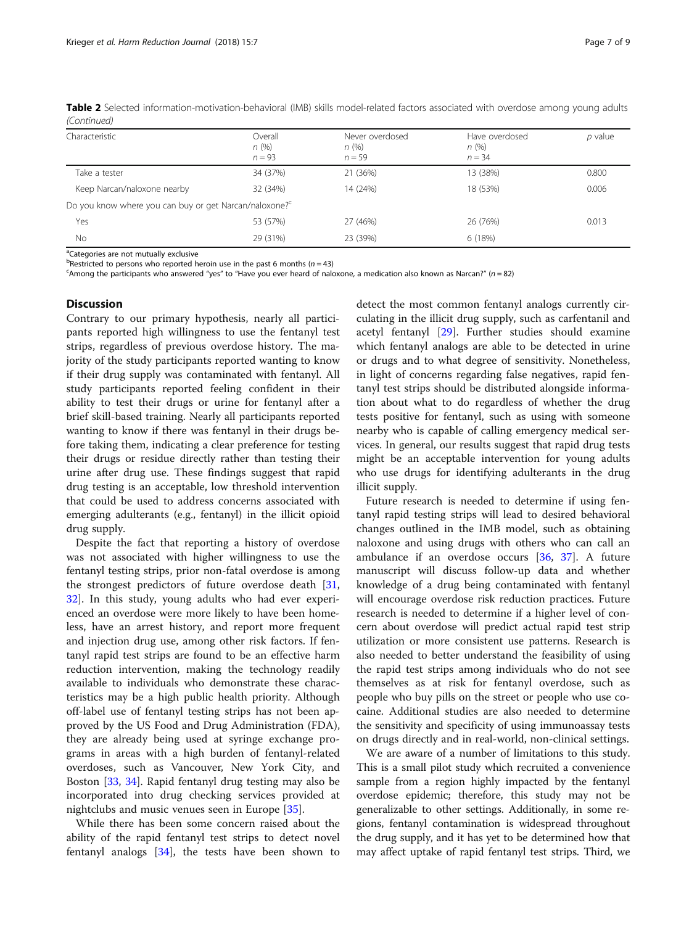| Characteristic                                                     | Overall<br>n(%)<br>$n = 93$ | Never overdosed<br>n(%)<br>$n = 59$ | Have overdosed<br>n(%)<br>$n = 34$ | p value |
|--------------------------------------------------------------------|-----------------------------|-------------------------------------|------------------------------------|---------|
| Take a tester                                                      | 34 (37%)                    | 21 (36%)                            | 13 (38%)                           | 0.800   |
| Keep Narcan/naloxone nearby                                        | 32 (34%)                    | 14 (24%)                            | 18 (53%)                           | 0.006   |
| Do you know where you can buy or get Narcan/naloxone? <sup>c</sup> |                             |                                     |                                    |         |
| Yes                                                                | 53 (57%)                    | 27 (46%)                            | 26 (76%)                           | 0.013   |
| No                                                                 | 29 (31%)                    | 23 (39%)                            | 6 (18%)                            |         |

Table 2 Selected information-motivation-behavioral (IMB) skills model-related factors associated with overdose among young adults (Continued)

<sup>a</sup>Categories are not mutually exclusive

be estricted to persons who reported heroin use in the past 6 months  $(n=43)$ <br>Samppe the participants who appeared "ves" to "Have you aver beard of pale

<sup>c</sup>Among the participants who answered "yes" to "Have you ever heard of naloxone, a medication also known as Narcan?" ( $n = 82$ )

# **Discussion**

Contrary to our primary hypothesis, nearly all participants reported high willingness to use the fentanyl test strips, regardless of previous overdose history. The majority of the study participants reported wanting to know if their drug supply was contaminated with fentanyl. All study participants reported feeling confident in their ability to test their drugs or urine for fentanyl after a brief skill-based training. Nearly all participants reported wanting to know if there was fentanyl in their drugs before taking them, indicating a clear preference for testing their drugs or residue directly rather than testing their urine after drug use. These findings suggest that rapid drug testing is an acceptable, low threshold intervention that could be used to address concerns associated with emerging adulterants (e.g., fentanyl) in the illicit opioid drug supply.

Despite the fact that reporting a history of overdose was not associated with higher willingness to use the fentanyl testing strips, prior non-fatal overdose is among the strongest predictors of future overdose death [[31](#page-8-0), [32\]](#page-8-0). In this study, young adults who had ever experienced an overdose were more likely to have been homeless, have an arrest history, and report more frequent and injection drug use, among other risk factors. If fentanyl rapid test strips are found to be an effective harm reduction intervention, making the technology readily available to individuals who demonstrate these characteristics may be a high public health priority. Although off-label use of fentanyl testing strips has not been approved by the US Food and Drug Administration (FDA), they are already being used at syringe exchange programs in areas with a high burden of fentanyl-related overdoses, such as Vancouver, New York City, and Boston [[33](#page-8-0), [34\]](#page-8-0). Rapid fentanyl drug testing may also be incorporated into drug checking services provided at nightclubs and music venues seen in Europe [\[35](#page-8-0)].

While there has been some concern raised about the ability of the rapid fentanyl test strips to detect novel fentanyl analogs [\[34\]](#page-8-0), the tests have been shown to detect the most common fentanyl analogs currently circulating in the illicit drug supply, such as carfentanil and acetyl fentanyl [[29\]](#page-8-0). Further studies should examine which fentanyl analogs are able to be detected in urine or drugs and to what degree of sensitivity. Nonetheless, in light of concerns regarding false negatives, rapid fentanyl test strips should be distributed alongside information about what to do regardless of whether the drug tests positive for fentanyl, such as using with someone nearby who is capable of calling emergency medical services. In general, our results suggest that rapid drug tests might be an acceptable intervention for young adults who use drugs for identifying adulterants in the drug illicit supply.

Future research is needed to determine if using fentanyl rapid testing strips will lead to desired behavioral changes outlined in the IMB model, such as obtaining naloxone and using drugs with others who can call an ambulance if an overdose occurs [\[36](#page-8-0), [37](#page-8-0)]. A future manuscript will discuss follow-up data and whether knowledge of a drug being contaminated with fentanyl will encourage overdose risk reduction practices. Future research is needed to determine if a higher level of concern about overdose will predict actual rapid test strip utilization or more consistent use patterns. Research is also needed to better understand the feasibility of using the rapid test strips among individuals who do not see themselves as at risk for fentanyl overdose, such as people who buy pills on the street or people who use cocaine. Additional studies are also needed to determine the sensitivity and specificity of using immunoassay tests on drugs directly and in real-world, non-clinical settings.

We are aware of a number of limitations to this study. This is a small pilot study which recruited a convenience sample from a region highly impacted by the fentanyl overdose epidemic; therefore, this study may not be generalizable to other settings. Additionally, in some regions, fentanyl contamination is widespread throughout the drug supply, and it has yet to be determined how that may affect uptake of rapid fentanyl test strips. Third, we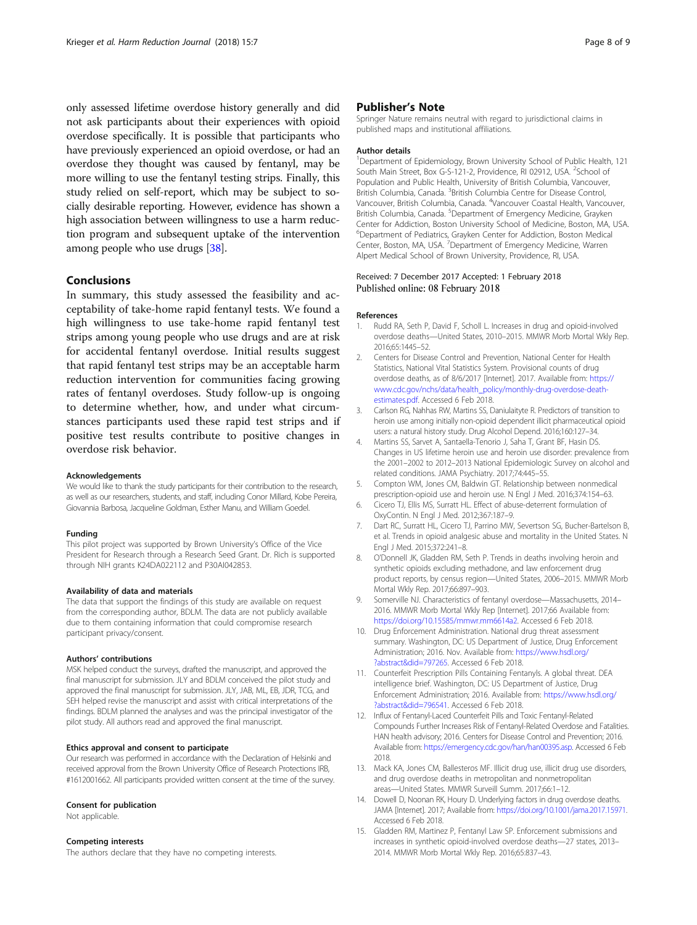<span id="page-7-0"></span>only assessed lifetime overdose history generally and did not ask participants about their experiences with opioid overdose specifically. It is possible that participants who have previously experienced an opioid overdose, or had an overdose they thought was caused by fentanyl, may be more willing to use the fentanyl testing strips. Finally, this study relied on self-report, which may be subject to socially desirable reporting. However, evidence has shown a high association between willingness to use a harm reduction program and subsequent uptake of the intervention among people who use drugs [\[38\]](#page-8-0).

# Conclusions

In summary, this study assessed the feasibility and acceptability of take-home rapid fentanyl tests. We found a high willingness to use take-home rapid fentanyl test strips among young people who use drugs and are at risk for accidental fentanyl overdose. Initial results suggest that rapid fentanyl test strips may be an acceptable harm reduction intervention for communities facing growing rates of fentanyl overdoses. Study follow-up is ongoing to determine whether, how, and under what circumstances participants used these rapid test strips and if positive test results contribute to positive changes in overdose risk behavior.

#### Acknowledgements

We would like to thank the study participants for their contribution to the research, as well as our researchers, students, and staff, including Conor Millard, Kobe Pereira, Giovannia Barbosa, Jacqueline Goldman, Esther Manu, and William Goedel.

#### Funding

This pilot project was supported by Brown University's Office of the Vice President for Research through a Research Seed Grant. Dr. Rich is supported through NIH grants K24DA022112 and P30AI042853.

#### Availability of data and materials

The data that support the findings of this study are available on request from the corresponding author, BDLM. The data are not publicly available due to them containing information that could compromise research participant privacy/consent.

#### Authors' contributions

MSK helped conduct the surveys, drafted the manuscript, and approved the final manuscript for submission. JLY and BDLM conceived the pilot study and approved the final manuscript for submission. JLY, JAB, ML, EB, JDR, TCG, and SEH helped revise the manuscript and assist with critical interpretations of the findings. BDLM planned the analyses and was the principal investigator of the pilot study. All authors read and approved the final manuscript.

#### Ethics approval and consent to participate

Our research was performed in accordance with the Declaration of Helsinki and received approval from the Brown University Office of Research Protections IRB, #1612001662. All participants provided written consent at the time of the survey.

#### Consent for publication

Not applicable.

#### Competing interests

The authors declare that they have no competing interests.

#### Publisher's Note

Springer Nature remains neutral with regard to jurisdictional claims in published maps and institutional affiliations.

#### Author details

<sup>1</sup>Department of Epidemiology, Brown University School of Public Health, 121 South Main Street, Box G-S-121-2, Providence, RI 02912, USA. <sup>2</sup>School of Population and Public Health, University of British Columbia, Vancouver, British Columbia, Canada. <sup>3</sup>British Columbia Centre for Disease Control Vancouver, British Columbia, Canada. <sup>4</sup>Vancouver Coastal Health, Vancouver, British Columbia, Canada. <sup>5</sup>Department of Emergency Medicine, Grayken Center for Addiction, Boston University School of Medicine, Boston, MA, USA. 6 Department of Pediatrics, Grayken Center for Addiction, Boston Medical Center, Boston, MA, USA. <sup>7</sup> Department of Emergency Medicine, Warren Alpert Medical School of Brown University, Providence, RI, USA.

#### Received: 7 December 2017 Accepted: 1 February 2018 Published online: 08 February 2018

#### References

- 1. Rudd RA, Seth P, David F, Scholl L. Increases in drug and opioid-involved overdose deaths—United States, 2010–2015. MMWR Morb Mortal Wkly Rep. 2016;65:1445–52.
- 2. Centers for Disease Control and Prevention, National Center for Health Statistics, National Vital Statistics System. Provisional counts of drug overdose deaths, as of 8/6/2017 [Internet]. 2017. Available from: [https://](https://www.cdc.gov/nchs/data/health_policy/monthly-drug-overdose-death-estimates.pdf) [www.cdc.gov/nchs/data/health\\_policy/monthly-drug-overdose-death](https://www.cdc.gov/nchs/data/health_policy/monthly-drug-overdose-death-estimates.pdf)[estimates.pdf](https://www.cdc.gov/nchs/data/health_policy/monthly-drug-overdose-death-estimates.pdf). Accessed 6 Feb 2018.
- 3. Carlson RG, Nahhas RW, Martins SS, Daniulaityte R. Predictors of transition to heroin use among initially non-opioid dependent illicit pharmaceutical opioid users: a natural history study. Drug Alcohol Depend. 2016;160:127–34.
- 4. Martins SS, Sarvet A, Santaella-Tenorio J, Saha T, Grant BF, Hasin DS. Changes in US lifetime heroin use and heroin use disorder: prevalence from the 2001–2002 to 2012–2013 National Epidemiologic Survey on alcohol and related conditions. JAMA Psychiatry. 2017;74:445–55.
- 5. Compton WM, Jones CM, Baldwin GT. Relationship between nonmedical prescription-opioid use and heroin use. N Engl J Med. 2016;374:154–63.
- 6. Cicero TJ, Ellis MS, Surratt HL. Effect of abuse-deterrent formulation of OxyContin. N Engl J Med. 2012;367:187–9.
- 7. Dart RC, Surratt HL, Cicero TJ, Parrino MW, Severtson SG, Bucher-Bartelson B, et al. Trends in opioid analgesic abuse and mortality in the United States. N Engl J Med. 2015;372:241–8.
- 8. O'Donnell JK, Gladden RM, Seth P. Trends in deaths involving heroin and synthetic opioids excluding methadone, and law enforcement drug product reports, by census region—United States, 2006–2015. MMWR Morb Mortal Wkly Rep. 2017;66:897–903.
- 9. Somerville NJ. Characteristics of fentanyl overdose—Massachusetts, 2014– 2016. MMWR Morb Mortal Wkly Rep [Internet]. 2017;66 Available from: <https://doi.org/10.15585/mmwr.mm6614a2>. Accessed 6 Feb 2018.
- 10. Drug Enforcement Administration. National drug threat assessment summary. Washington, DC: US Department of Justice, Drug Enforcement Administration; 2016. Nov. Available from: [https://www.hsdl.org/](https://www.hsdl.org/?abstract&did=797265) [?abstract&did=797265.](https://www.hsdl.org/?abstract&did=797265) Accessed 6 Feb 2018.
- 11. Counterfeit Prescription Pills Containing Fentanyls. A global threat. DEA intelligence brief. Washington, DC: US Department of Justice, Drug Enforcement Administration; 2016. Available from: [https://www.hsdl.org/](https://www.hsdl.org/?abstract&did=796541) [?abstract&did=796541.](https://www.hsdl.org/?abstract&did=796541) Accessed 6 Feb 2018.
- 12. Influx of Fentanyl-Laced Counterfeit Pills and Toxic Fentanyl-Related Compounds Further Increases Risk of Fentanyl-Related Overdose and Fatalities. HAN health advisory; 2016. Centers for Disease Control and Prevention; 2016. Available from: [https://emergency.cdc.gov/han/han00395.asp.](https://emergency.cdc.gov/han/han00395.asp) Accessed 6 Feb 2018.
- 13. Mack KA, Jones CM, Ballesteros MF. Illicit drug use, illicit drug use disorders, and drug overdose deaths in metropolitan and nonmetropolitan areas—United States. MMWR Surveill Summ. 2017;66:1–12.
- 14. Dowell D, Noonan RK, Houry D. Underlying factors in drug overdose deaths. JAMA [Internet]. 2017; Available from: <https://doi.org/10.1001/jama.2017.15971>. Accessed 6 Feb 2018.
- 15. Gladden RM, Martinez P, Fentanyl Law SP. Enforcement submissions and increases in synthetic opioid-involved overdose deaths—27 states, 2013– 2014. MMWR Morb Mortal Wkly Rep. 2016;65:837–43.